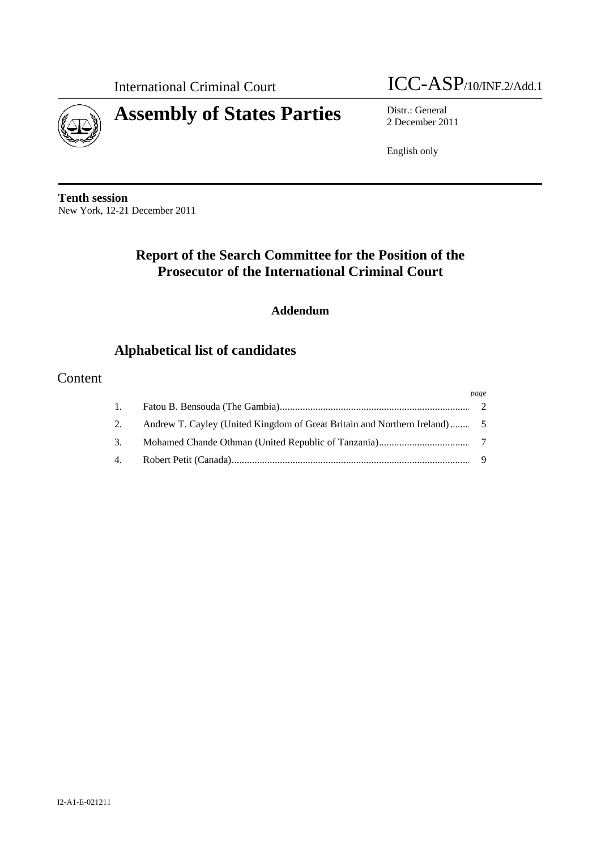

# International Criminal Court ICC-ASP/10/INF.2/Add.1

2 December 2011

English only

**Tenth session**  New York, 12-21 December 2011

# **Report of the Search Committee for the Position of the Prosecutor of the International Criminal Court**

# **Addendum**

# **Alphabetical list of candidates**

# Content

|          | page |
|----------|------|
| $\pm$ 1. |      |
| 2.       |      |
| 3.       |      |
| 4.       |      |

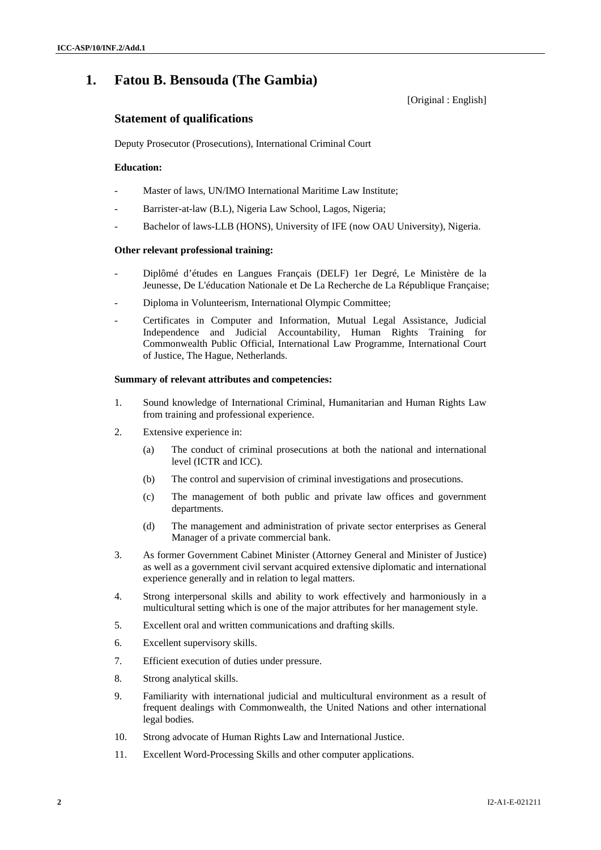# **1. Fatou B. Bensouda (The Gambia)**

[Original : English]

### **Statement of qualifications**

Deputy Prosecutor (Prosecutions), International Criminal Court

### **Education:**

- Master of laws, UN/IMO International Maritime Law Institute;
- Barrister-at-law (B.L), Nigeria Law School, Lagos, Nigeria;
- Bachelor of laws-LLB (HONS), University of IFE (now OAU University), Nigeria.

### **Other relevant professional training:**

- Diplômé d'études en Langues Français (DELF) 1er Degré, Le Ministère de la Jeunesse, De L'éducation Nationale et De La Recherche de La République Française;
- Diploma in Volunteerism, International Olympic Committee;
- Certificates in Computer and Information, Mutual Legal Assistance, Judicial Independence and Judicial Accountability, Human Rights Training for Commonwealth Public Official, International Law Programme, International Court of Justice, The Hague, Netherlands.

### **Summary of relevant attributes and competencies:**

- 1. Sound knowledge of International Criminal, Humanitarian and Human Rights Law from training and professional experience.
- 2. Extensive experience in:
	- (a) The conduct of criminal prosecutions at both the national and international level (ICTR and ICC).
	- (b) The control and supervision of criminal investigations and prosecutions.
	- (c) The management of both public and private law offices and government departments.
	- (d) The management and administration of private sector enterprises as General Manager of a private commercial bank.
- 3. As former Government Cabinet Minister (Attorney General and Minister of Justice) as well as a government civil servant acquired extensive diplomatic and international experience generally and in relation to legal matters.
- 4. Strong interpersonal skills and ability to work effectively and harmoniously in a multicultural setting which is one of the major attributes for her management style.
- 5. Excellent oral and written communications and drafting skills.
- 6. Excellent supervisory skills.
- 7. Efficient execution of duties under pressure.
- 8. Strong analytical skills.
- 9. Familiarity with international judicial and multicultural environment as a result of frequent dealings with Commonwealth, the United Nations and other international legal bodies.
- 10. Strong advocate of Human Rights Law and International Justice.
- 11. Excellent Word-Processing Skills and other computer applications.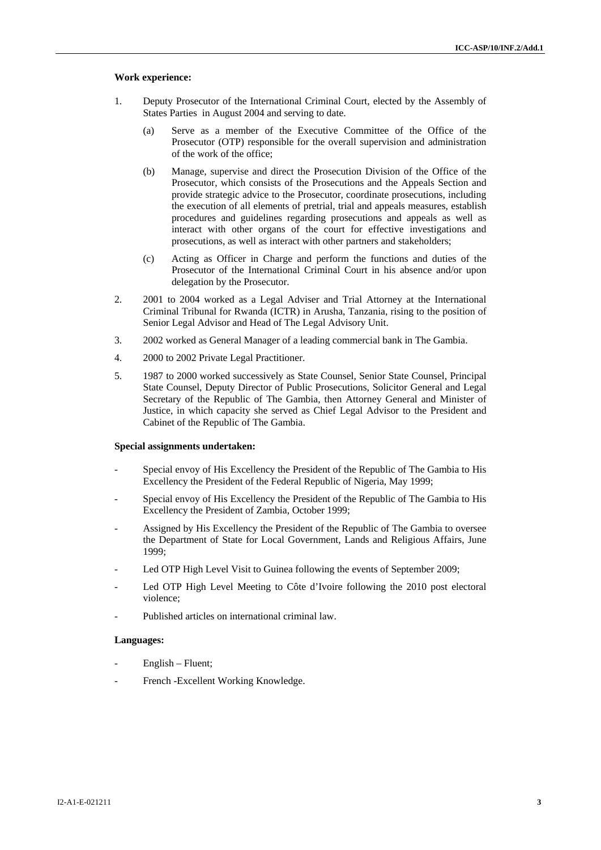#### **Work experience:**

- 1. Deputy Prosecutor of the International Criminal Court, elected by the Assembly of States Parties in August 2004 and serving to date.
	- (a) Serve as a member of the Executive Committee of the Office of the Prosecutor (OTP) responsible for the overall supervision and administration of the work of the office;
	- (b) Manage, supervise and direct the Prosecution Division of the Office of the Prosecutor, which consists of the Prosecutions and the Appeals Section and provide strategic advice to the Prosecutor, coordinate prosecutions, including the execution of all elements of pretrial, trial and appeals measures, establish procedures and guidelines regarding prosecutions and appeals as well as interact with other organs of the court for effective investigations and prosecutions, as well as interact with other partners and stakeholders;
	- (c) Acting as Officer in Charge and perform the functions and duties of the Prosecutor of the International Criminal Court in his absence and/or upon delegation by the Prosecutor.
- 2. 2001 to 2004 worked as a Legal Adviser and Trial Attorney at the International Criminal Tribunal for Rwanda (ICTR) in Arusha, Tanzania, rising to the position of Senior Legal Advisor and Head of The Legal Advisory Unit.
- 3. 2002 worked as General Manager of a leading commercial bank in The Gambia.
- 4. 2000 to 2002 Private Legal Practitioner.
- 5. 1987 to 2000 worked successively as State Counsel, Senior State Counsel, Principal State Counsel, Deputy Director of Public Prosecutions, Solicitor General and Legal Secretary of the Republic of The Gambia, then Attorney General and Minister of Justice, in which capacity she served as Chief Legal Advisor to the President and Cabinet of the Republic of The Gambia.

#### **Special assignments undertaken:**

- Special envoy of His Excellency the President of the Republic of The Gambia to His Excellency the President of the Federal Republic of Nigeria, May 1999;
- Special envoy of His Excellency the President of the Republic of The Gambia to His Excellency the President of Zambia, October 1999;
- Assigned by His Excellency the President of the Republic of The Gambia to oversee the Department of State for Local Government, Lands and Religious Affairs, June 1999;
- Led OTP High Level Visit to Guinea following the events of September 2009;
- Led OTP High Level Meeting to Côte d'Ivoire following the 2010 post electoral violence;
- Published articles on international criminal law.

### **Languages:**

- English Fluent;
- French Excellent Working Knowledge.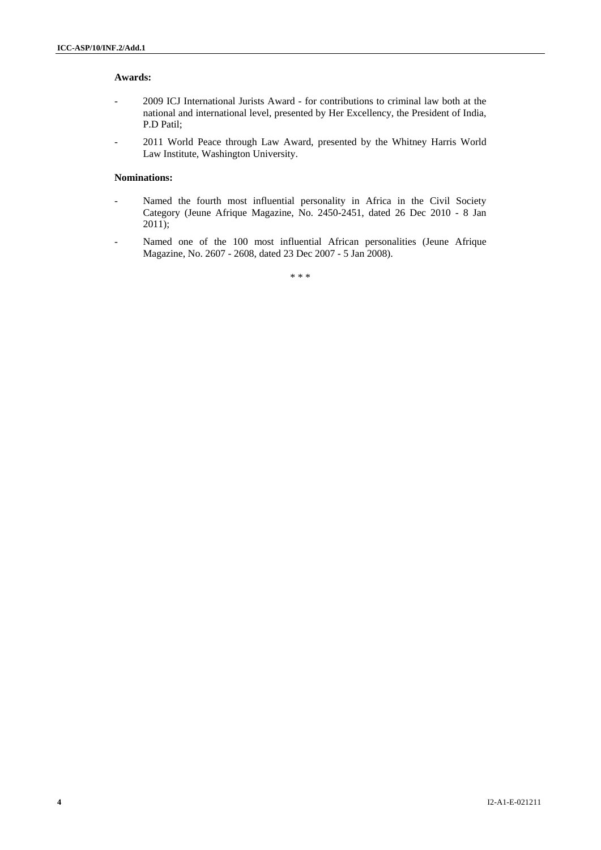### **Awards:**

- 2009 ICJ International Jurists Award for contributions to criminal law both at the national and international level, presented by Her Excellency, the President of India, P.D Patil;
- 2011 World Peace through Law Award, presented by the Whitney Harris World Law Institute, Washington University.

### **Nominations:**

- Named the fourth most influential personality in Africa in the Civil Society Category (Jeune Afrique Magazine, No. 2450-2451, dated 26 Dec 2010 - 8 Jan 2011);
- Named one of the 100 most influential African personalities (Jeune Afrique Magazine, No. 2607 - 2608, dated 23 Dec 2007 - 5 Jan 2008).

\* \* \*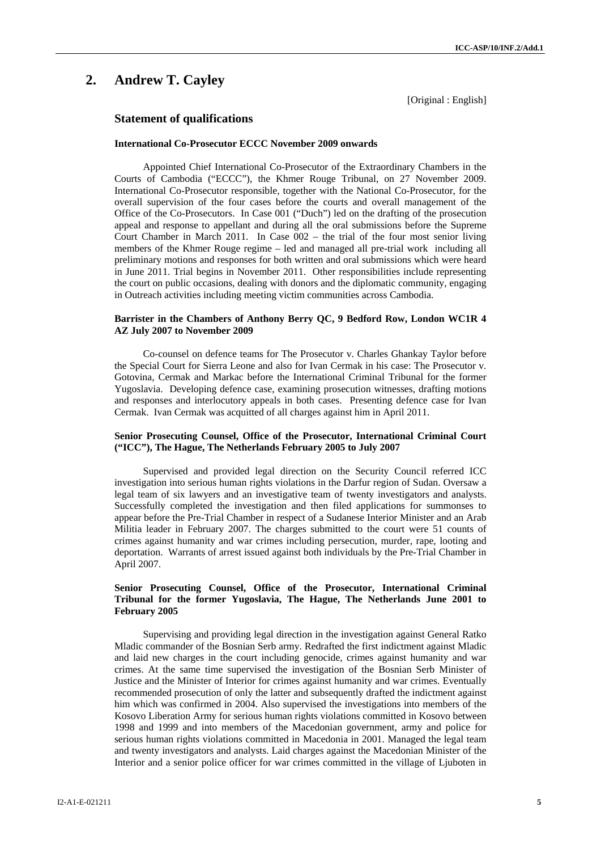# **2. Andrew T. Cayley**

[Original : English]

### **Statement of qualifications**

#### **International Co-Prosecutor ECCC November 2009 onwards**

Appointed Chief International Co-Prosecutor of the Extraordinary Chambers in the Courts of Cambodia ("ECCC"), the Khmer Rouge Tribunal, on 27 November 2009. International Co-Prosecutor responsible, together with the National Co-Prosecutor, for the overall supervision of the four cases before the courts and overall management of the Office of the Co-Prosecutors. In Case 001 ("Duch") led on the drafting of the prosecution appeal and response to appellant and during all the oral submissions before the Supreme Court Chamber in March 2011. In Case 002 – the trial of the four most senior living members of the Khmer Rouge regime – led and managed all pre-trial work including all preliminary motions and responses for both written and oral submissions which were heard in June 2011. Trial begins in November 2011. Other responsibilities include representing the court on public occasions, dealing with donors and the diplomatic community, engaging in Outreach activities including meeting victim communities across Cambodia.

### **Barrister in the Chambers of Anthony Berry QC, 9 Bedford Row, London WC1R 4 AZ July 2007 to November 2009**

Co-counsel on defence teams for The Prosecutor v. Charles Ghankay Taylor before the Special Court for Sierra Leone and also for Ivan Cermak in his case: The Prosecutor v. Gotovina, Cermak and Markac before the International Criminal Tribunal for the former Yugoslavia. Developing defence case, examining prosecution witnesses, drafting motions and responses and interlocutory appeals in both cases. Presenting defence case for Ivan Cermak. Ivan Cermak was acquitted of all charges against him in April 2011.

### **Senior Prosecuting Counsel, Office of the Prosecutor, International Criminal Court ("ICC"), The Hague, The Netherlands February 2005 to July 2007**

Supervised and provided legal direction on the Security Council referred ICC investigation into serious human rights violations in the Darfur region of Sudan. Oversaw a legal team of six lawyers and an investigative team of twenty investigators and analysts. Successfully completed the investigation and then filed applications for summonses to appear before the Pre-Trial Chamber in respect of a Sudanese Interior Minister and an Arab Militia leader in February 2007. The charges submitted to the court were 51 counts of crimes against humanity and war crimes including persecution, murder, rape, looting and deportation. Warrants of arrest issued against both individuals by the Pre-Trial Chamber in April 2007.

### **Senior Prosecuting Counsel, Office of the Prosecutor, International Criminal Tribunal for the former Yugoslavia, The Hague, The Netherlands June 2001 to February 2005**

Supervising and providing legal direction in the investigation against General Ratko Mladic commander of the Bosnian Serb army. Redrafted the first indictment against Mladic and laid new charges in the court including genocide, crimes against humanity and war crimes. At the same time supervised the investigation of the Bosnian Serb Minister of Justice and the Minister of Interior for crimes against humanity and war crimes. Eventually recommended prosecution of only the latter and subsequently drafted the indictment against him which was confirmed in 2004. Also supervised the investigations into members of the Kosovo Liberation Army for serious human rights violations committed in Kosovo between 1998 and 1999 and into members of the Macedonian government, army and police for serious human rights violations committed in Macedonia in 2001. Managed the legal team and twenty investigators and analysts. Laid charges against the Macedonian Minister of the Interior and a senior police officer for war crimes committed in the village of Ljuboten in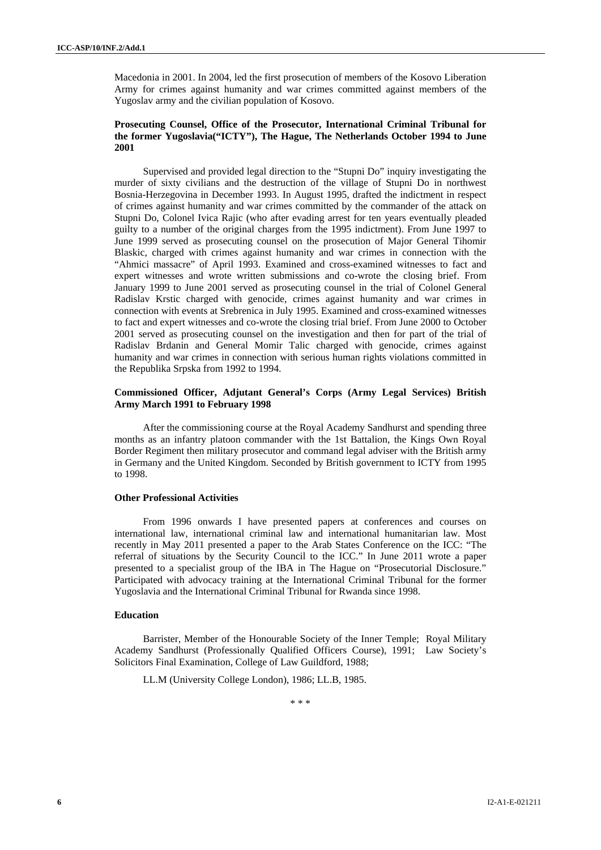Macedonia in 2001. In 2004, led the first prosecution of members of the Kosovo Liberation Army for crimes against humanity and war crimes committed against members of the Yugoslav army and the civilian population of Kosovo.

### **Prosecuting Counsel, Office of the Prosecutor, International Criminal Tribunal for the former Yugoslavia("ICTY"), The Hague, The Netherlands October 1994 to June 2001**

Supervised and provided legal direction to the "Stupni Do" inquiry investigating the murder of sixty civilians and the destruction of the village of Stupni Do in northwest Bosnia-Herzegovina in December 1993. In August 1995, drafted the indictment in respect of crimes against humanity and war crimes committed by the commander of the attack on Stupni Do, Colonel Ivica Rajic (who after evading arrest for ten years eventually pleaded guilty to a number of the original charges from the 1995 indictment). From June 1997 to June 1999 served as prosecuting counsel on the prosecution of Major General Tihomir Blaskic, charged with crimes against humanity and war crimes in connection with the "Ahmici massacre" of April 1993. Examined and cross-examined witnesses to fact and expert witnesses and wrote written submissions and co-wrote the closing brief. From January 1999 to June 2001 served as prosecuting counsel in the trial of Colonel General Radislav Krstic charged with genocide, crimes against humanity and war crimes in connection with events at Srebrenica in July 1995. Examined and cross-examined witnesses to fact and expert witnesses and co-wrote the closing trial brief. From June 2000 to October 2001 served as prosecuting counsel on the investigation and then for part of the trial of Radislav Brdanin and General Momir Talic charged with genocide, crimes against humanity and war crimes in connection with serious human rights violations committed in the Republika Srpska from 1992 to 1994.

### **Commissioned Officer, Adjutant General's Corps (Army Legal Services) British Army March 1991 to February 1998**

After the commissioning course at the Royal Academy Sandhurst and spending three months as an infantry platoon commander with the 1st Battalion, the Kings Own Royal Border Regiment then military prosecutor and command legal adviser with the British army in Germany and the United Kingdom. Seconded by British government to ICTY from 1995 to 1998.

### **Other Professional Activities**

From 1996 onwards I have presented papers at conferences and courses on international law, international criminal law and international humanitarian law. Most recently in May 2011 presented a paper to the Arab States Conference on the ICC: "The referral of situations by the Security Council to the ICC." In June 2011 wrote a paper presented to a specialist group of the IBA in The Hague on "Prosecutorial Disclosure." Participated with advocacy training at the International Criminal Tribunal for the former Yugoslavia and the International Criminal Tribunal for Rwanda since 1998.

### **Education**

Barrister, Member of the Honourable Society of the Inner Temple; Royal Military Academy Sandhurst (Professionally Qualified Officers Course), 1991; Law Society's Solicitors Final Examination, College of Law Guildford, 1988;

LL.M (University College London), 1986; LL.B, 1985.

\* \* \*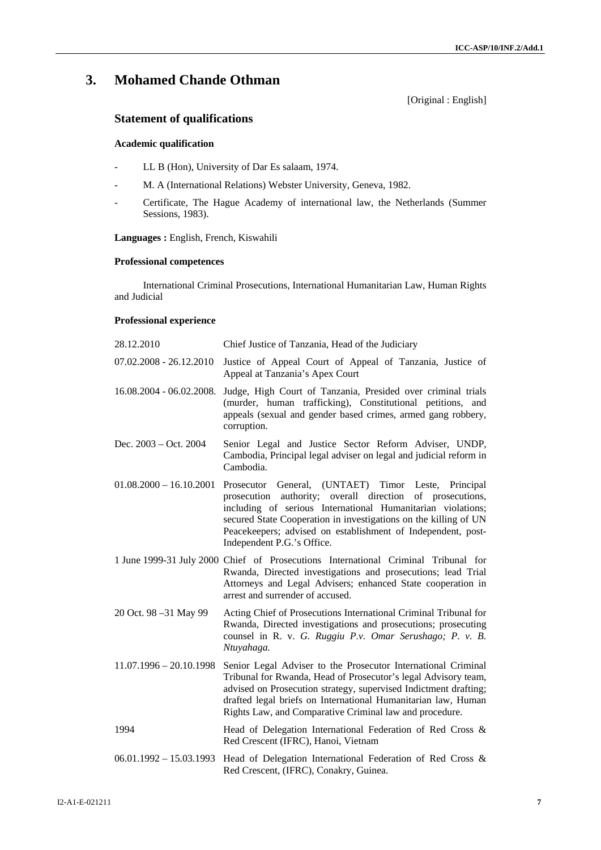# **3. Mohamed Chande Othman**

[Original : English]

# **Statement of qualifications**

### **Academic qualification**

- LL B (Hon), University of Dar Es salaam, 1974.
- M. A (International Relations) Webster University, Geneva, 1982.
- Certificate, The Hague Academy of international law, the Netherlands (Summer Sessions, 1983).

### **Languages :** English, French, Kiswahili

### **Professional competences**

International Criminal Prosecutions, International Humanitarian Law, Human Rights and Judicial

### **Professional experience**

| 28.12.2010                | Chief Justice of Tanzania, Head of the Judiciary                                                                                                                                                                                                                                                                                                  |
|---------------------------|---------------------------------------------------------------------------------------------------------------------------------------------------------------------------------------------------------------------------------------------------------------------------------------------------------------------------------------------------|
| $07.02.2008 - 26.12.2010$ | Justice of Appeal Court of Appeal of Tanzania, Justice of<br>Appeal at Tanzania's Apex Court                                                                                                                                                                                                                                                      |
| 16.08.2004 - 06.02.2008.  | Judge, High Court of Tanzania, Presided over criminal trials<br>(murder, human trafficking), Constitutional petitions, and<br>appeals (sexual and gender based crimes, armed gang robbery,<br>corruption.                                                                                                                                         |
| Dec. $2003 - Oct. 2004$   | Senior Legal and Justice Sector Reform Adviser, UNDP,<br>Cambodia, Principal legal adviser on legal and judicial reform in<br>Cambodia.                                                                                                                                                                                                           |
| $01.08.2000 - 16.10.2001$ | Prosecutor General, (UNTAET) Timor Leste, Principal<br>prosecution authority; overall direction of prosecutions,<br>including of serious International Humanitarian violations;<br>secured State Cooperation in investigations on the killing of UN<br>Peacekeepers; advised on establishment of Independent, post-<br>Independent P.G.'s Office. |
|                           | 1 June 1999-31 July 2000 Chief of Prosecutions International Criminal Tribunal for<br>Rwanda, Directed investigations and prosecutions; lead Trial<br>Attorneys and Legal Advisers; enhanced State cooperation in<br>arrest and surrender of accused.                                                                                             |
| 20 Oct. 98 -31 May 99     | Acting Chief of Prosecutions International Criminal Tribunal for<br>Rwanda, Directed investigations and prosecutions; prosecuting<br>counsel in R. v. G. Ruggiu P.v. Omar Serushago; P. v. B.<br>Ntuyahaga.                                                                                                                                       |
| $11.07.1996 - 20.10.1998$ | Senior Legal Adviser to the Prosecutor International Criminal<br>Tribunal for Rwanda, Head of Prosecutor's legal Advisory team,<br>advised on Prosecution strategy, supervised Indictment drafting;<br>drafted legal briefs on International Humanitarian law, Human<br>Rights Law, and Comparative Criminal law and procedure.                   |
| 1994                      | Head of Delegation International Federation of Red Cross &<br>Red Crescent (IFRC), Hanoi, Vietnam                                                                                                                                                                                                                                                 |
|                           | $06.01.1992 - 15.03.1993$ Head of Delegation International Federation of Red Cross &<br>Red Crescent, (IFRC), Conakry, Guinea.                                                                                                                                                                                                                    |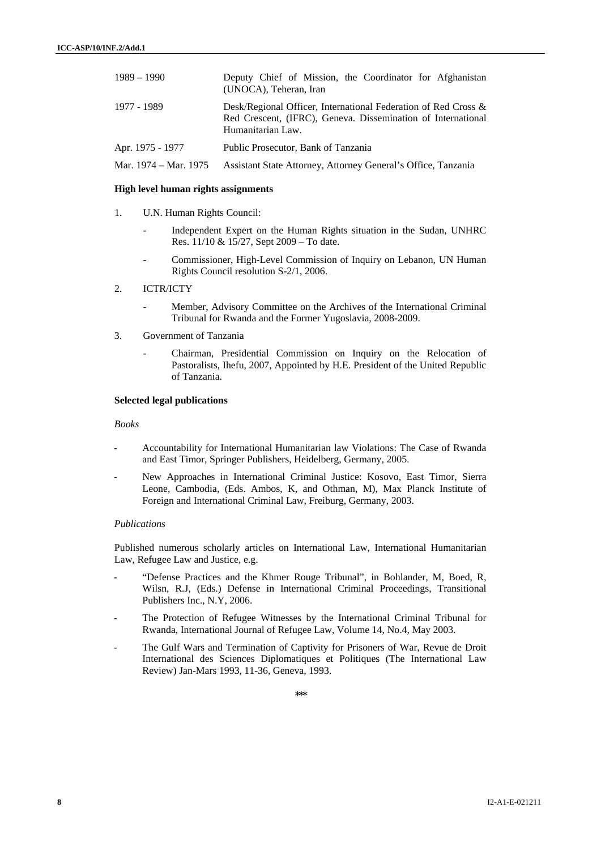| $1989 - 1990$         | Deputy Chief of Mission, the Coordinator for Afghanistan<br>(UNOCA), Teheran, Iran                                                                     |
|-----------------------|--------------------------------------------------------------------------------------------------------------------------------------------------------|
| 1977 - 1989           | Desk/Regional Officer, International Federation of Red Cross $\&$<br>Red Crescent, (IFRC), Geneva. Dissemination of International<br>Humanitarian Law. |
| Apr. 1975 - 1977      | Public Prosecutor, Bank of Tanzania                                                                                                                    |
| Mar. 1974 – Mar. 1975 | Assistant State Attorney, Attorney General's Office, Tanzania                                                                                          |

#### **High level human rights assignments**

- 1. U.N. Human Rights Council:
	- Independent Expert on the Human Rights situation in the Sudan, UNHRC Res. 11/10 & 15/27, Sept 2009 – To date.
	- Commissioner, High-Level Commission of Inquiry on Lebanon, UN Human Rights Council resolution S-2/1, 2006.
- 2. ICTR/ICTY
	- Member, Advisory Committee on the Archives of the International Criminal Tribunal for Rwanda and the Former Yugoslavia, 2008-2009.
- 3. Government of Tanzania
	- Chairman, Presidential Commission on Inquiry on the Relocation of Pastoralists, Ihefu, 2007, Appointed by H.E. President of the United Republic of Tanzania.

#### **Selected legal publications**

*Books* 

- Accountability for International Humanitarian law Violations: The Case of Rwanda and East Timor, Springer Publishers, Heidelberg, Germany, 2005.
- New Approaches in International Criminal Justice: Kosovo, East Timor, Sierra Leone, Cambodia, (Eds. Ambos, K, and Othman, M), Max Planck Institute of Foreign and International Criminal Law, Freiburg, Germany, 2003.

### *Publications*

Published numerous scholarly articles on International Law, International Humanitarian Law, Refugee Law and Justice, e.g.

- "Defense Practices and the Khmer Rouge Tribunal", in Bohlander, M, Boed, R, Wilsn, R.J, (Eds.) Defense in International Criminal Proceedings, Transitional Publishers Inc., N.Y, 2006.
- The Protection of Refugee Witnesses by the International Criminal Tribunal for Rwanda, International Journal of Refugee Law, Volume 14, No.4, May 2003.
- The Gulf Wars and Termination of Captivity for Prisoners of War, Revue de Droit International des Sciences Diplomatiques et Politiques (The International Law Review) Jan-Mars 1993, 11-36, Geneva, 1993.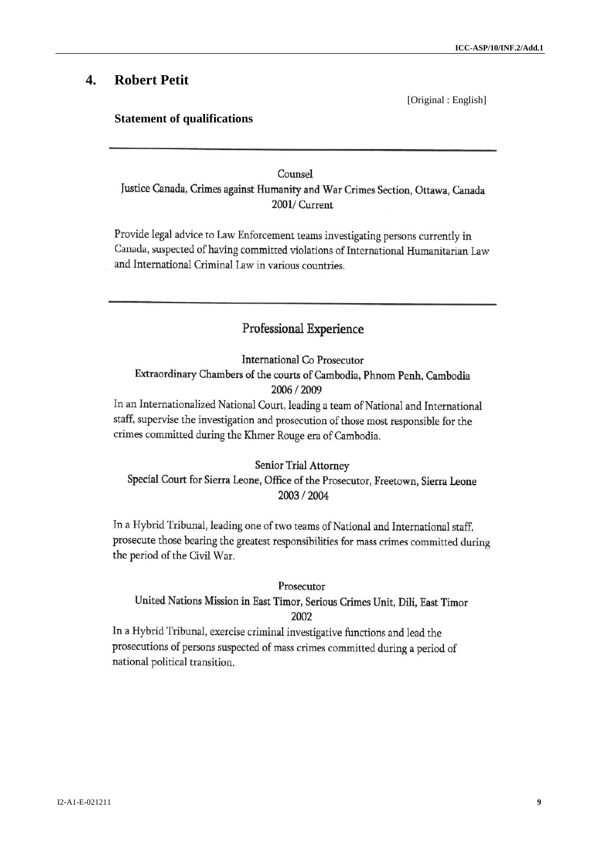# **4. Robert Petit**

### **Statement of qualifications**

[Original : English]

# Counsel

Justice Canada, Crimes against Humanity and War Crimes Section, Ottawa, Canada 2001/ Current

Provide legal advice to Law Enforcement teams investigating persons currently in Canada, suspected of having committed violations of International Humanitarian Law and International Criminal Law in various countries.

# Professional Experience

International Co Prosecutor Extraordinary Chambers of the courts of Cambodia, Phnom Penh, Cambodia 2006 / 2009

In an Internationalized National Court, leading a team of National and International staff, supervise the investigation and prosecution of those most responsible for the crimes committed during the Khmer Rouge era of Cambodia.

Senior Trial Attorney Special Court for Sierra Leone, Office of the Prosecutor, Freetown, Sierra Leone 2003 / 2004

In a Hybrid Tribunal, leading one of two teams of National and International staff, prosecute those bearing the greatest responsibilities for mass crimes committed during the period of the Civil War.

### Prosecutor

United Nations Mission in East Timor, Serious Crimes Unit, Dili, East Timor 2002

In a Hybrid Tribunal, exercise criminal investigative functions and lead the prosecutions of persons suspected of mass crimes committed during a period of national political transition.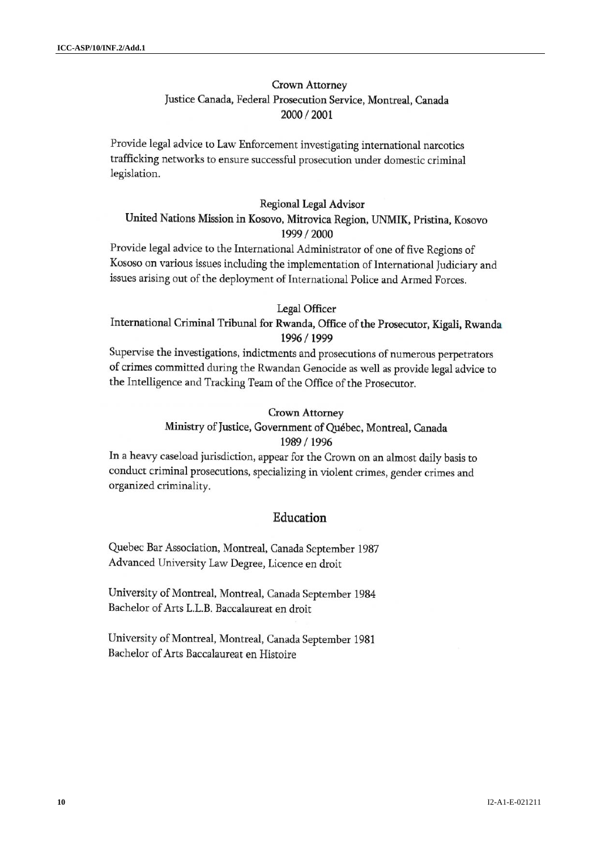# Crown Attorney Justice Canada, Federal Prosecution Service, Montreal, Canada 2000 / 2001

Provide legal advice to Law Enforcement investigating international narcotics trafficking networks to ensure successful prosecution under domestic criminal legislation.

### Regional Legal Advisor

# United Nations Mission in Kosovo, Mitrovica Region, UNMIK, Pristina, Kosovo 1999 / 2000

Provide legal advice to the International Administrator of one of five Regions of Kososo on various issues including the implementation of International Judiciary and issues arising out of the deployment of International Police and Armed Forces.

### Legal Officer

# International Criminal Tribunal for Rwanda, Office of the Prosecutor, Kigali, Rwanda 1996 / 1999

Supervise the investigations, indictments and prosecutions of numerous perpetrators of crimes committed during the Rwandan Genocide as well as provide legal advice to the Intelligence and Tracking Team of the Office of the Prosecutor.

### Crown Attorney

### Ministry of Justice, Government of Québec, Montreal, Canada 1989 / 1996

In a heavy caseload jurisdiction, appear for the Crown on an almost daily basis to conduct criminal prosecutions, specializing in violent crimes, gender crimes and organized criminality.

### Education

Quebec Bar Association, Montreal, Canada September 1987 Advanced University Law Degree, Licence en droit

University of Montreal, Montreal, Canada September 1984 Bachelor of Arts L.L.B. Baccalaureat en droit

University of Montreal, Montreal, Canada September 1981 Bachelor of Arts Baccalaureat en Histoire